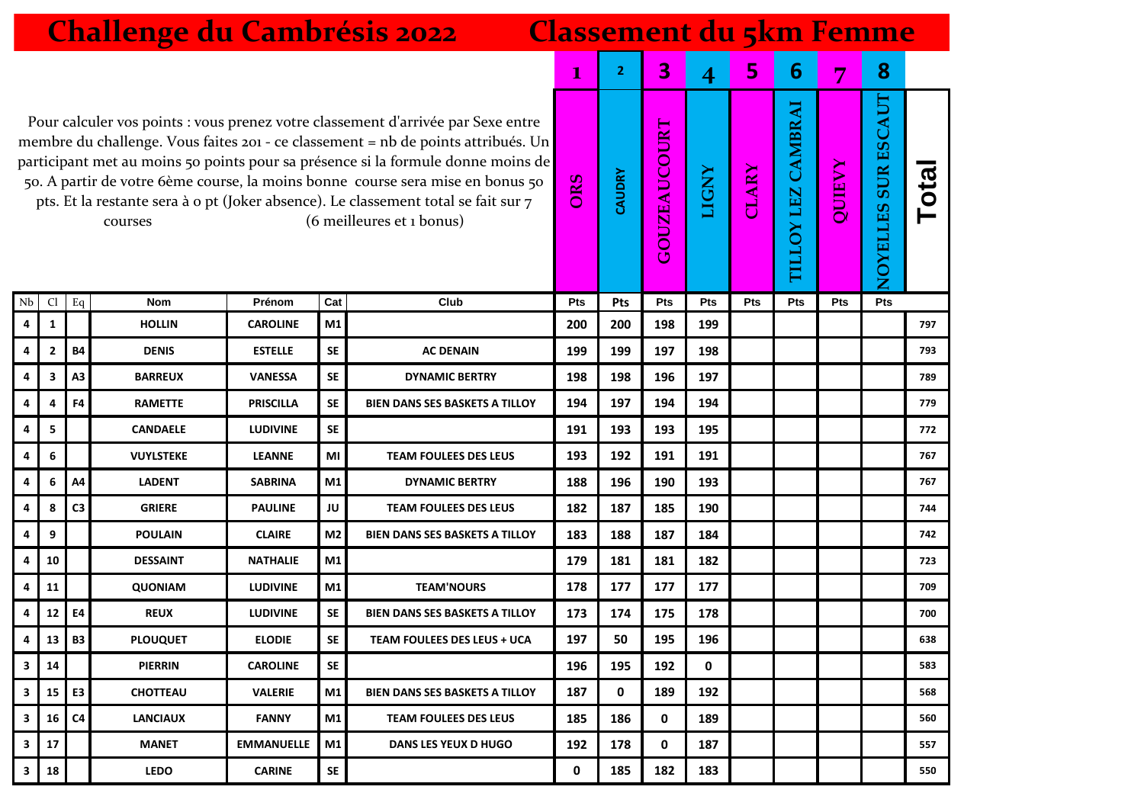|                                                                                                                                                                                                                                                                                                                                                                                                                                                                           | <b>Challenge du Cambrésis 2022</b><br><b>Classement du 5km Femme</b> |                |                  |                   |                |                                       |            |        |                         |              |              |                                     |        |                                  |       |
|---------------------------------------------------------------------------------------------------------------------------------------------------------------------------------------------------------------------------------------------------------------------------------------------------------------------------------------------------------------------------------------------------------------------------------------------------------------------------|----------------------------------------------------------------------|----------------|------------------|-------------------|----------------|---------------------------------------|------------|--------|-------------------------|--------------|--------------|-------------------------------------|--------|----------------------------------|-------|
|                                                                                                                                                                                                                                                                                                                                                                                                                                                                           |                                                                      |                |                  |                   |                |                                       | 1          | 2      | 3                       | 4            | 5            | 6                                   | 7      | 8                                |       |
| Pour calculer vos points : vous prenez votre classement d'arrivée par Sexe entre<br>membre du challenge. Vous faites 201 - ce classement = nb de points attribués. Un<br>participant met au moins 50 points pour sa présence si la formule donne moins de<br>50. A partir de votre 6ème course, la moins bonne course sera mise en bonus 50<br>pts. Et la restante sera à o pt (Joker absence). Le classement total se fait sur 7<br>(6 meilleures et 1 bonus)<br>courses |                                                                      |                |                  |                   |                |                                       | ORS        | CAUDRY | <b>OUZEAUCOURT</b><br>Ū | <b>LIGNY</b> | <b>CLARY</b> | <b>CAMBRAI</b><br><b>TILLOY LEZ</b> | QUIEVY | ESCAUT<br><b>SUR</b><br>NOYELLES | Total |
| Nb                                                                                                                                                                                                                                                                                                                                                                                                                                                                        | Cl                                                                   | Eq             | <b>Nom</b>       | Prénom            | Cat            | Club                                  | <b>Pts</b> | Pts    | Pts                     | Pts          | <b>Pts</b>   | <b>Pts</b>                          | Pts    | Pts                              |       |
| 4                                                                                                                                                                                                                                                                                                                                                                                                                                                                         | 1                                                                    |                | <b>HOLLIN</b>    | <b>CAROLINE</b>   | M1             |                                       | 200        | 200    | 198                     | 199          |              |                                     |        |                                  | 797   |
| 4                                                                                                                                                                                                                                                                                                                                                                                                                                                                         | 2                                                                    | <b>B4</b>      | <b>DENIS</b>     | <b>ESTELLE</b>    | <b>SE</b>      | <b>AC DENAIN</b>                      | 199        | 199    | 197                     | 198          |              |                                     |        |                                  | 793   |
| 4                                                                                                                                                                                                                                                                                                                                                                                                                                                                         | 3                                                                    | A <sub>3</sub> | <b>BARREUX</b>   | <b>VANESSA</b>    | <b>SE</b>      | <b>DYNAMIC BERTRY</b>                 | 198        | 198    | 196                     | 197          |              |                                     |        |                                  | 789   |
| 4                                                                                                                                                                                                                                                                                                                                                                                                                                                                         | 4                                                                    | F4             | <b>RAMETTE</b>   | <b>PRISCILLA</b>  | <b>SE</b>      | <b>BIEN DANS SES BASKETS A TILLOY</b> | 194        | 197    | 194                     | 194          |              |                                     |        |                                  | 779   |
| 4                                                                                                                                                                                                                                                                                                                                                                                                                                                                         | 5                                                                    |                | <b>CANDAELE</b>  | <b>LUDIVINE</b>   | <b>SE</b>      |                                       | 191        | 193    | 193                     | 195          |              |                                     |        |                                  | 772   |
| 4                                                                                                                                                                                                                                                                                                                                                                                                                                                                         | 6                                                                    |                | <b>VUYLSTEKE</b> | <b>LEANNE</b>     | ΜI             | <b>TEAM FOULEES DES LEUS</b>          | 193        | 192    | 191                     | 191          |              |                                     |        |                                  | 767   |
| 4                                                                                                                                                                                                                                                                                                                                                                                                                                                                         | 6                                                                    | A4             | <b>LADENT</b>    | <b>SABRINA</b>    | M1             | <b>DYNAMIC BERTRY</b>                 | 188        | 196    | 190                     | 193          |              |                                     |        |                                  | 767   |
| 4                                                                                                                                                                                                                                                                                                                                                                                                                                                                         | 8                                                                    | C <sub>3</sub> | <b>GRIERE</b>    | <b>PAULINE</b>    | JU             | <b>TEAM FOULEES DES LEUS</b>          | 182        | 187    | 185                     | 190          |              |                                     |        |                                  | 744   |
| 4                                                                                                                                                                                                                                                                                                                                                                                                                                                                         | 9                                                                    |                | <b>POULAIN</b>   | <b>CLAIRE</b>     | M <sub>2</sub> | <b>BIEN DANS SES BASKETS A TILLOY</b> | 183        | 188    | 187                     | 184          |              |                                     |        |                                  | 742   |
| 4                                                                                                                                                                                                                                                                                                                                                                                                                                                                         | 10                                                                   |                | <b>DESSAINT</b>  | <b>NATHALIE</b>   | M1             |                                       | 179        | 181    | 181                     | 182          |              |                                     |        |                                  | 723   |
| 4                                                                                                                                                                                                                                                                                                                                                                                                                                                                         | 11                                                                   |                | <b>QUONIAM</b>   | <b>LUDIVINE</b>   | M1             | <b>TEAM'NOURS</b>                     | 178        | 177    | 177                     | 177          |              |                                     |        |                                  | 709   |
| 4                                                                                                                                                                                                                                                                                                                                                                                                                                                                         | 12 <sup>1</sup>                                                      | E4             | <b>REUX</b>      | <b>LUDIVINE</b>   | <b>SE</b>      | <b>BIEN DANS SES BASKETS A TILLOY</b> | 173        | 174    | 175                     | 178          |              |                                     |        |                                  | 700   |
| 4                                                                                                                                                                                                                                                                                                                                                                                                                                                                         | 13 I                                                                 | <b>B3</b>      | <b>PLOUQUET</b>  | <b>ELODIE</b>     | <b>SE</b>      | <b>TEAM FOULEES DES LEUS + UCA</b>    | 197        | 50     | 195                     | 196          |              |                                     |        |                                  | 638   |
| 3                                                                                                                                                                                                                                                                                                                                                                                                                                                                         | 14                                                                   |                | <b>PIERRIN</b>   | <b>CAROLINE</b>   | SE             |                                       | 196        | 195    | 192                     | 0            |              |                                     |        |                                  | 583   |
| з                                                                                                                                                                                                                                                                                                                                                                                                                                                                         | 15 <sup>1</sup>                                                      | E <sub>3</sub> | <b>CHOTTEAU</b>  | <b>VALERIE</b>    | Μ1             | <b>BIEN DANS SES BASKETS A TILLOY</b> | 187        | 0      | 189                     | 192          |              |                                     |        |                                  | 568   |
| 3                                                                                                                                                                                                                                                                                                                                                                                                                                                                         | 16 <sup>1</sup>                                                      | C <sub>4</sub> | <b>LANCIAUX</b>  | <b>FANNY</b>      | M1             | <b>TEAM FOULEES DES LEUS</b>          | 185        | 186    | 0                       | 189          |              |                                     |        |                                  | 560   |
| 3                                                                                                                                                                                                                                                                                                                                                                                                                                                                         | 17                                                                   |                | <b>MANET</b>     | <b>EMMANUELLE</b> | Μ1             | <b>DANS LES YEUX D HUGO</b>           | 192        | 178    | 0                       | 187          |              |                                     |        |                                  | 557   |
| 3                                                                                                                                                                                                                                                                                                                                                                                                                                                                         | 18                                                                   |                | <b>LEDO</b>      | <b>CARINE</b>     | <b>SE</b>      |                                       | 0          | 185    | 182                     | 183          |              |                                     |        |                                  | 550   |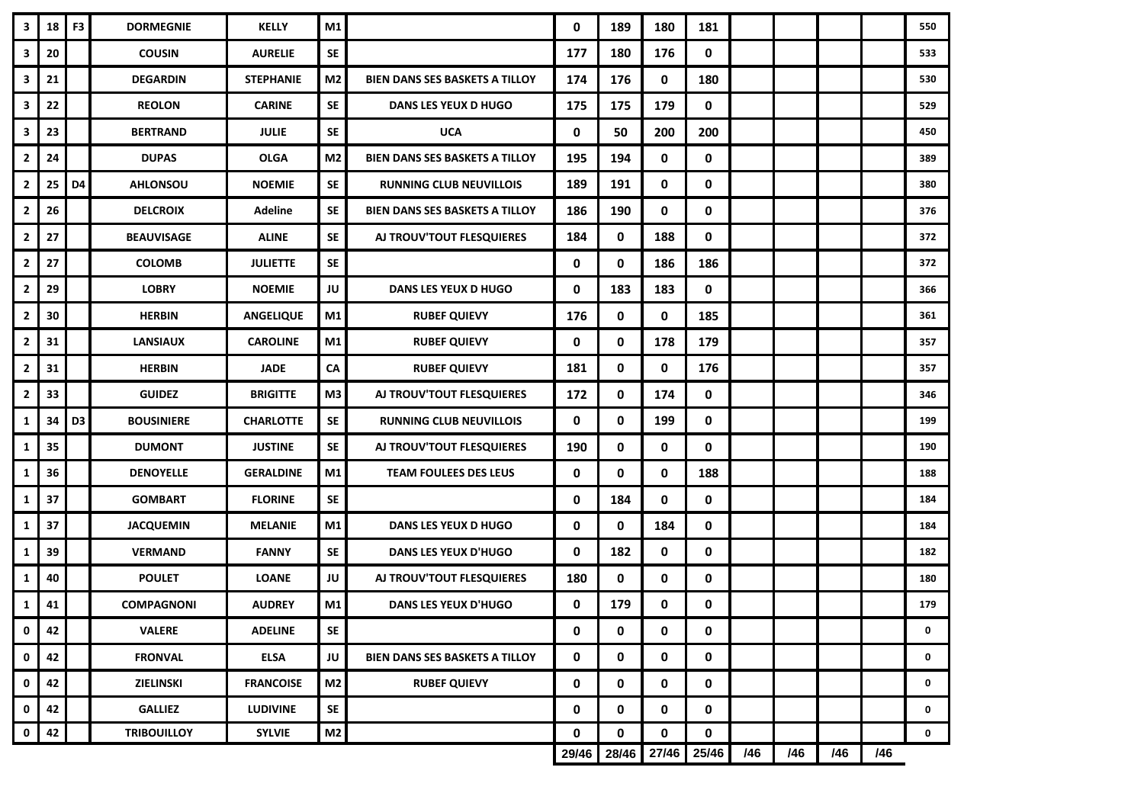| 3              | 18 | F <sub>3</sub> | <b>DORMEGNIE</b>   | <b>KELLY</b>     | M1             |                                       | 0     | 189         | 180         | 181         |     |     |     |     | 550         |
|----------------|----|----------------|--------------------|------------------|----------------|---------------------------------------|-------|-------------|-------------|-------------|-----|-----|-----|-----|-------------|
| 3              | 20 |                | <b>COUSIN</b>      | <b>AURELIE</b>   | <b>SE</b>      |                                       | 177   | 180         | 176         | 0           |     |     |     |     | 533         |
| 3              | 21 |                | <b>DEGARDIN</b>    | <b>STEPHANIE</b> | M <sub>2</sub> | <b>BIEN DANS SES BASKETS A TILLOY</b> | 174   | 176         | 0           | 180         |     |     |     |     | 530         |
| 3              | 22 |                | <b>REOLON</b>      | <b>CARINE</b>    | <b>SE</b>      | DANS LES YEUX D HUGO                  | 175   | 175         | 179         | 0           |     |     |     |     | 529         |
| 3              | 23 |                | <b>BERTRAND</b>    | <b>JULIE</b>     | <b>SE</b>      | <b>UCA</b>                            | 0     | 50          | 200         | 200         |     |     |     |     | 450         |
| $\overline{2}$ | 24 |                | <b>DUPAS</b>       | <b>OLGA</b>      | M <sub>2</sub> | <b>BIEN DANS SES BASKETS A TILLOY</b> | 195   | 194         | $\mathbf 0$ | $\mathbf 0$ |     |     |     |     | 389         |
| $\overline{2}$ | 25 | D4             | <b>AHLONSOU</b>    | <b>NOEMIE</b>    | <b>SE</b>      | <b>RUNNING CLUB NEUVILLOIS</b>        | 189   | 191         | 0           | 0           |     |     |     |     | 380         |
| $\mathbf{2}$   | 26 |                | <b>DELCROIX</b>    | <b>Adeline</b>   | <b>SE</b>      | <b>BIEN DANS SES BASKETS A TILLOY</b> | 186   | 190         | 0           | 0           |     |     |     |     | 376         |
| $\overline{2}$ | 27 |                | <b>BEAUVISAGE</b>  | <b>ALINE</b>     | <b>SE</b>      | AJ TROUV'TOUT FLESQUIERES             | 184   | 0           | 188         | 0           |     |     |     |     | 372         |
| $\overline{2}$ | 27 |                | <b>COLOMB</b>      | <b>JULIETTE</b>  | <b>SE</b>      |                                       | 0     | 0           | 186         | 186         |     |     |     |     | 372         |
| $\overline{2}$ | 29 |                | <b>LOBRY</b>       | <b>NOEMIE</b>    | JU             | <b>DANS LES YEUX D HUGO</b>           | 0     | 183         | 183         | 0           |     |     |     |     | 366         |
| $\overline{2}$ | 30 |                | <b>HERBIN</b>      | <b>ANGELIQUE</b> | M1             | <b>RUBEF QUIEVY</b>                   | 176   | 0           | 0           | 185         |     |     |     |     | 361         |
| $\overline{2}$ | 31 |                | <b>LANSIAUX</b>    | <b>CAROLINE</b>  | M1             | <b>RUBEF QUIEVY</b>                   | 0     | 0           | 178         | 179         |     |     |     |     | 357         |
| $\overline{2}$ | 31 |                | <b>HERBIN</b>      | <b>JADE</b>      | CA             | <b>RUBEF QUIEVY</b>                   | 181   | 0           | 0           | 176         |     |     |     |     | 357         |
| $\overline{2}$ | 33 |                | <b>GUIDEZ</b>      | <b>BRIGITTE</b>  | M3             | AJ TROUV'TOUT FLESQUIERES             | 172   | $\mathbf 0$ | 174         | 0           |     |     |     |     | 346         |
| 1              | 34 | D <sub>3</sub> | <b>BOUSINIERE</b>  | <b>CHARLOTTE</b> | <b>SE</b>      | <b>RUNNING CLUB NEUVILLOIS</b>        | 0     | 0           | 199         | 0           |     |     |     |     | 199         |
| 1              | 35 |                | <b>DUMONT</b>      | <b>JUSTINE</b>   | <b>SE</b>      | AJ TROUV'TOUT FLESQUIERES             | 190   | 0           | 0           | 0           |     |     |     |     | 190         |
| 1              | 36 |                | <b>DENOYELLE</b>   | <b>GERALDINE</b> | M1             | <b>TEAM FOULEES DES LEUS</b>          | 0     | 0           | 0           | 188         |     |     |     |     | 188         |
| $\mathbf{1}$   | 37 |                | <b>GOMBART</b>     | <b>FLORINE</b>   | <b>SE</b>      |                                       | 0     | 184         | 0           | $\mathbf 0$ |     |     |     |     | 184         |
| 1              | 37 |                | <b>JACQUEMIN</b>   | <b>MELANIE</b>   | M1             | <b>DANS LES YEUX D HUGO</b>           | 0     | 0           | 184         | 0           |     |     |     |     | 184         |
| 1              | 39 |                | <b>VERMAND</b>     | <b>FANNY</b>     | <b>SE</b>      | <b>DANS LES YEUX D'HUGO</b>           | 0     | 182         | 0           | 0           |     |     |     |     | 182         |
| 1              | 40 |                | <b>POULET</b>      | <b>LOANE</b>     | JU             | AJ TROUV'TOUT FLESQUIERES             | 180   | 0           | 0           | 0           |     |     |     |     | 180         |
| 1              | 41 |                | <b>COMPAGNONI</b>  | <b>AUDREY</b>    | M1             | <b>DANS LES YEUX D'HUGO</b>           | 0     | 179         | 0           | 0           |     |     |     |     | 179         |
| 0              | 42 |                | <b>VALERE</b>      | <b>ADELINE</b>   | <b>SE</b>      |                                       | 0     | 0           | 0           | 0           |     |     |     |     | 0           |
| 0              | 42 |                | <b>FRONVAL</b>     | <b>ELSA</b>      | JU             | <b>BIEN DANS SES BASKETS A TILLOY</b> | 0     | 0           | 0           | 0           |     |     |     |     | 0           |
| 0              | 42 |                | ZIELINSKI          | <b>FRANCOISE</b> | M <sub>2</sub> | <b>RUBEF QUIEVY</b>                   | 0     | 0           | 0           | 0           |     |     |     |     | 0           |
| 0              | 42 |                | <b>GALLIEZ</b>     | <b>LUDIVINE</b>  | <b>SE</b>      |                                       | 0     | 0           | 0           | 0           |     |     |     |     | 0           |
| $\mathbf 0$    | 42 |                | <b>TRIBOUILLOY</b> | <b>SYLVIE</b>    | M <sub>2</sub> |                                       | 0     | 0           | $\mathbf 0$ | 0           |     |     |     |     | $\mathbf 0$ |
|                |    |                |                    |                  |                |                                       | 29/46 | 28/46       | 27/46       | 25/46       | /46 | /46 | /46 | /46 |             |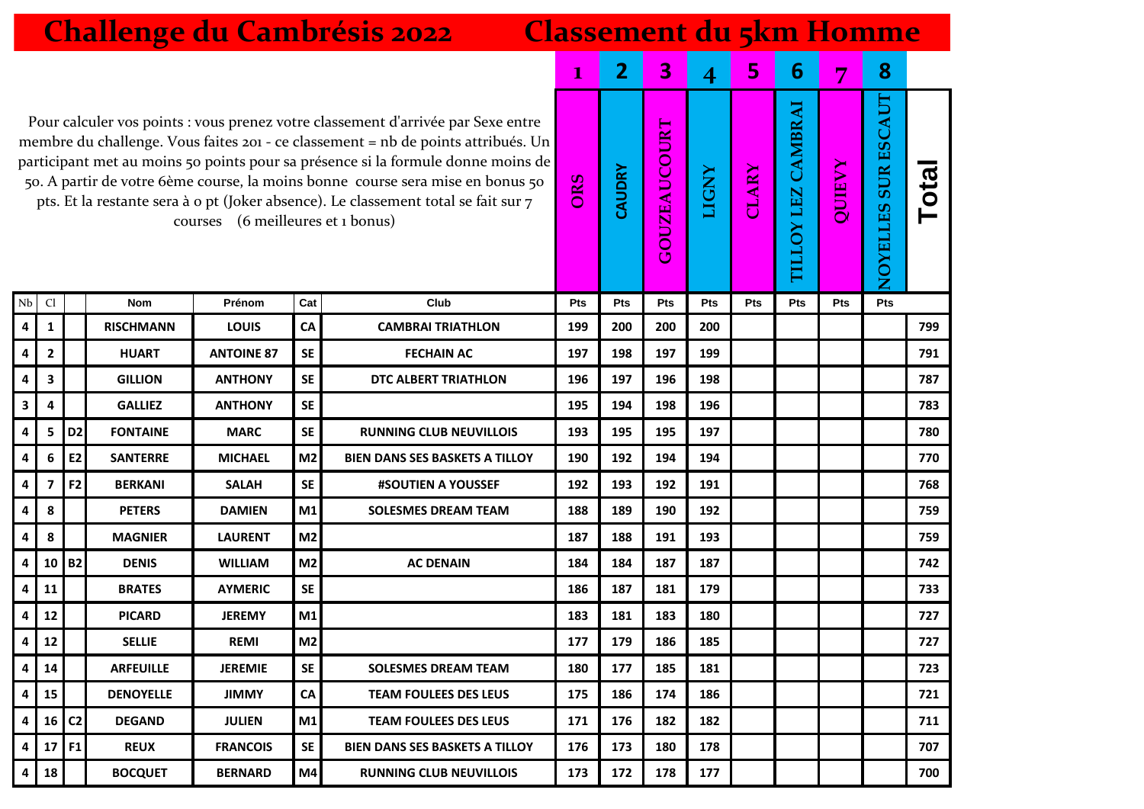|                         | <b>Challenge du Cambrésis 2022</b><br><b>Classement du 5km Homme</b>                                                                                                                                                                                                                                                                                                                                                                                                   |                |                  |                   |                |                                       |              |                |                     |                |              |                                        |               |                                      |      |
|-------------------------|------------------------------------------------------------------------------------------------------------------------------------------------------------------------------------------------------------------------------------------------------------------------------------------------------------------------------------------------------------------------------------------------------------------------------------------------------------------------|----------------|------------------|-------------------|----------------|---------------------------------------|--------------|----------------|---------------------|----------------|--------------|----------------------------------------|---------------|--------------------------------------|------|
|                         |                                                                                                                                                                                                                                                                                                                                                                                                                                                                        |                |                  |                   |                |                                       | $\mathbf{I}$ | $\overline{2}$ | 3                   | $\overline{4}$ | 5            | 6                                      | 7             | 8                                    |      |
|                         | Pour calculer vos points : vous prenez votre classement d'arrivée par Sexe entre<br>membre du challenge. Vous faites 201 - ce classement = nb de points attribués. Un<br>participant met au moins 50 points pour sa présence si la formule donne moins de<br>50. A partir de votre 6ème course, la moins bonne course sera mise en bonus 50<br>pts. Et la restante sera à o pt (Joker absence). Le classement total se fait sur 7<br>courses (6 meilleures et 1 bonus) |                |                  |                   |                |                                       | ORS          | CAUDRY         | <b>GOUZEAUCOURT</b> | <b>LIGNY</b>   | <b>CLARY</b> | CAMBRAI<br>LEZ<br>$\mathsf{S}$<br>TILL | <b>VAEDIO</b> | <b>SUR ESCAUT</b><br><b>NOYELLES</b> | Tota |
| Nb                      | Cl                                                                                                                                                                                                                                                                                                                                                                                                                                                                     |                | <b>Nom</b>       | Prénom            | Cat            | Club                                  | Pts          | Pts            | Pts                 | Pts            | Pts          | Pts                                    | Pts           | Pts                                  |      |
| 4                       | 1                                                                                                                                                                                                                                                                                                                                                                                                                                                                      |                | <b>RISCHMANN</b> | <b>LOUIS</b>      | ${\sf CA}$     | <b>CAMBRAI TRIATHLON</b>              | 199          | 200            | 200                 | 200            |              |                                        |               |                                      | 799  |
| 4                       | $\overline{2}$                                                                                                                                                                                                                                                                                                                                                                                                                                                         |                | <b>HUART</b>     | <b>ANTOINE 87</b> | <b>SE</b>      | <b>FECHAIN AC</b>                     | 197          | 198            | 197                 | 199            |              |                                        |               |                                      | 791  |
| 4                       | 3                                                                                                                                                                                                                                                                                                                                                                                                                                                                      |                | <b>GILLION</b>   | <b>ANTHONY</b>    | <b>SE</b>      | DTC ALBERT TRIATHLON                  | 196          | 197            | 196                 | 198            |              |                                        |               |                                      | 787  |
| 3                       | 4                                                                                                                                                                                                                                                                                                                                                                                                                                                                      |                | <b>GALLIEZ</b>   | <b>ANTHONY</b>    | <b>SE</b>      |                                       | 195          | 194            | 198                 | 196            |              |                                        |               |                                      | 783  |
| 4                       | 5                                                                                                                                                                                                                                                                                                                                                                                                                                                                      | D <sub>2</sub> | <b>FONTAINE</b>  | <b>MARC</b>       | <b>SE</b>      | <b>RUNNING CLUB NEUVILLOIS</b>        | 193          | 195            | 195                 | 197            |              |                                        |               |                                      | 780  |
| 4                       | 6                                                                                                                                                                                                                                                                                                                                                                                                                                                                      | E <sub>2</sub> | <b>SANTERRE</b>  | <b>MICHAEL</b>    | M <sub>2</sub> | <b>BIEN DANS SES BASKETS A TILLOY</b> | 190          | 192            | 194                 | 194            |              |                                        |               |                                      | 770  |
| 4                       | 7                                                                                                                                                                                                                                                                                                                                                                                                                                                                      | F <sub>2</sub> | <b>BERKANI</b>   | <b>SALAH</b>      | <b>SE</b>      | #SOUTIEN A YOUSSEF                    | 192          | 193            | 192                 | 191            |              |                                        |               |                                      | 768  |
| 4                       | 8                                                                                                                                                                                                                                                                                                                                                                                                                                                                      |                | <b>PETERS</b>    | <b>DAMIEN</b>     | M1             | <b>SOLESMES DREAM TEAM</b>            | 188          | 189            | 190                 | 192            |              |                                        |               |                                      | 759  |
| 4                       | 8                                                                                                                                                                                                                                                                                                                                                                                                                                                                      |                | <b>MAGNIER</b>   | <b>LAURENT</b>    | M <sub>2</sub> |                                       | 187          | 188            | 191                 | 193            |              |                                        |               |                                      | 759  |
| 4                       | 10                                                                                                                                                                                                                                                                                                                                                                                                                                                                     | <b>B2</b>      | <b>DENIS</b>     | <b>WILLIAM</b>    | M <sub>2</sub> | <b>AC DENAIN</b>                      | 184          | 184            | 187                 | 187            |              |                                        |               |                                      | 742  |
| 4                       | 11                                                                                                                                                                                                                                                                                                                                                                                                                                                                     |                | <b>BRATES</b>    | <b>AYMERIC</b>    | <b>SE</b>      |                                       | 186          | 187            | 181                 | 179            |              |                                        |               |                                      | 733  |
| 4                       | 12                                                                                                                                                                                                                                                                                                                                                                                                                                                                     |                | <b>PICARD</b>    | <b>JEREMY</b>     | M1             |                                       | 183          | 181            | 183                 | 180            |              |                                        |               |                                      | 727  |
| $\overline{\mathbf{4}}$ | 12                                                                                                                                                                                                                                                                                                                                                                                                                                                                     |                | <b>SELLIE</b>    | REMI              | M2             |                                       | 177          | 179            | 186                 | 185            |              |                                        |               |                                      | 727  |
| 4                       | 14                                                                                                                                                                                                                                                                                                                                                                                                                                                                     |                | <b>ARFEUILLE</b> | <b>JEREMIE</b>    | <b>SE</b>      | <b>SOLESMES DREAM TEAM</b>            | 180          | 177            | 185                 | 181            |              |                                        |               |                                      | 723  |
| 4                       | 15                                                                                                                                                                                                                                                                                                                                                                                                                                                                     |                | <b>DENOYELLE</b> | <b>JIMMY</b>      | CA             | <b>TEAM FOULEES DES LEUS</b>          | 175          | 186            | 174                 | 186            |              |                                        |               |                                      | 721  |
| 4                       | 16                                                                                                                                                                                                                                                                                                                                                                                                                                                                     | C <sub>2</sub> | <b>DEGAND</b>    | <b>JULIEN</b>     | M1             | <b>TEAM FOULEES DES LEUS</b>          | 171          | 176            | 182                 | 182            |              |                                        |               |                                      | 711  |
| 4                       | 17                                                                                                                                                                                                                                                                                                                                                                                                                                                                     | F1             | <b>REUX</b>      | <b>FRANCOIS</b>   | <b>SE</b>      | <b>BIEN DANS SES BASKETS A TILLOY</b> | 176          | 173            | 180                 | 178            |              |                                        |               |                                      | 707  |
| 4                       | 18                                                                                                                                                                                                                                                                                                                                                                                                                                                                     |                | <b>BOCQUET</b>   | <b>BERNARD</b>    | M4             | <b>RUNNING CLUB NEUVILLOIS</b>        | 173          | 172            | 178                 | 177            |              |                                        |               |                                      | 700  |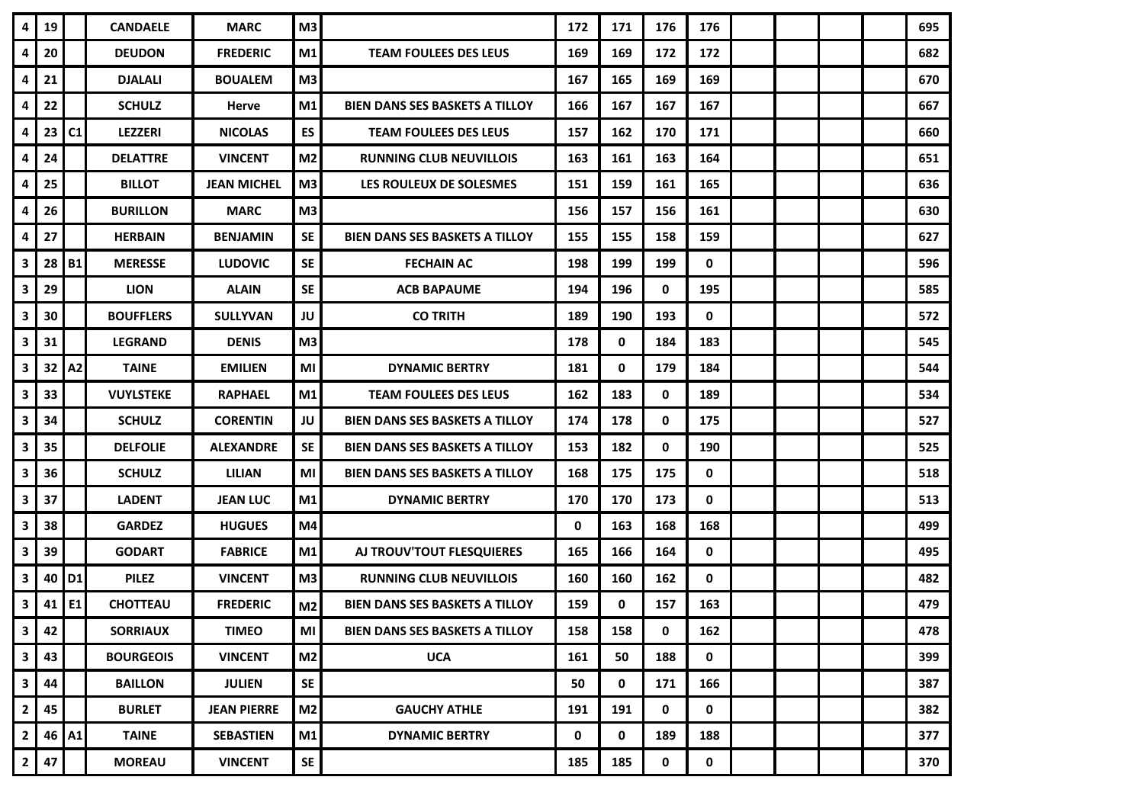| $4 \mid$       | 19    |                | <b>CANDAELE</b>  | <b>MARC</b>        | M <sub>3</sub> |                                       | 172 | 171 | 176 | 176 |  |  | 695 |
|----------------|-------|----------------|------------------|--------------------|----------------|---------------------------------------|-----|-----|-----|-----|--|--|-----|
| 4              | 20    |                | <b>DEUDON</b>    | <b>FREDERIC</b>    | M1             | <b>TEAM FOULEES DES LEUS</b>          | 169 | 169 | 172 | 172 |  |  | 682 |
| 4              | 21    |                | <b>DJALALI</b>   | <b>BOUALEM</b>     | M <sub>3</sub> |                                       | 167 | 165 | 169 | 169 |  |  | 670 |
| 4              | 22    |                | <b>SCHULZ</b>    | Herve              | M1             | <b>BIEN DANS SES BASKETS A TILLOY</b> | 166 | 167 | 167 | 167 |  |  | 667 |
| 4              | 23    | C <sub>1</sub> | <b>LEZZERI</b>   | <b>NICOLAS</b>     | <b>ES</b>      | <b>TEAM FOULEES DES LEUS</b>          | 157 | 162 | 170 | 171 |  |  | 660 |
| 4              | 24    |                | <b>DELATTRE</b>  | <b>VINCENT</b>     | M <sub>2</sub> | <b>RUNNING CLUB NEUVILLOIS</b>        | 163 | 161 | 163 | 164 |  |  | 651 |
| 4              | 25    |                | <b>BILLOT</b>    | <b>JEAN MICHEL</b> | M <sub>3</sub> | LES ROULEUX DE SOLESMES               | 151 | 159 | 161 | 165 |  |  | 636 |
| 4              | 26    |                | <b>BURILLON</b>  | <b>MARC</b>        | M3             |                                       | 156 | 157 | 156 | 161 |  |  | 630 |
| 4              | 27    |                | <b>HERBAIN</b>   | <b>BENJAMIN</b>    | <b>SE</b>      | <b>BIEN DANS SES BASKETS A TILLOY</b> | 155 | 155 | 158 | 159 |  |  | 627 |
| 3              | 28    | <b>B1</b>      | <b>MERESSE</b>   | <b>LUDOVIC</b>     | <b>SE</b>      | <b>FECHAIN AC</b>                     | 198 | 199 | 199 | 0   |  |  | 596 |
| 3              | 29    |                | <b>LION</b>      | <b>ALAIN</b>       | <b>SE</b>      | <b>ACB BAPAUME</b>                    | 194 | 196 | 0   | 195 |  |  | 585 |
| $\mathbf{3}$   | 30    |                | <b>BOUFFLERS</b> | <b>SULLYVAN</b>    | JU             | <b>CO TRITH</b>                       | 189 | 190 | 193 | 0   |  |  | 572 |
| 3              | 31    |                | <b>LEGRAND</b>   | <b>DENIS</b>       | M3             |                                       | 178 | 0   | 184 | 183 |  |  | 545 |
| 3              | 32    | A <sub>2</sub> | <b>TAINE</b>     | <b>EMILIEN</b>     | MI             | <b>DYNAMIC BERTRY</b>                 | 181 | 0   | 179 | 184 |  |  | 544 |
| $\mathbf{3}$   | 33    |                | <b>VUYLSTEKE</b> | <b>RAPHAEL</b>     | M1             | <b>TEAM FOULEES DES LEUS</b>          | 162 | 183 | 0   | 189 |  |  | 534 |
| 3              | 34    |                | <b>SCHULZ</b>    | <b>CORENTIN</b>    | JU             | <b>BIEN DANS SES BASKETS A TILLOY</b> | 174 | 178 | 0   | 175 |  |  | 527 |
| 3              | 35    |                | <b>DELFOLIE</b>  | <b>ALEXANDRE</b>   | <b>SE</b>      | <b>BIEN DANS SES BASKETS A TILLOY</b> | 153 | 182 | 0   | 190 |  |  | 525 |
| 3              | 36    |                | <b>SCHULZ</b>    | <b>LILIAN</b>      | MI             | <b>BIEN DANS SES BASKETS A TILLOY</b> | 168 | 175 | 175 | 0   |  |  | 518 |
| 3              | 37    |                | <b>LADENT</b>    | <b>JEAN LUC</b>    | M <sub>1</sub> | <b>DYNAMIC BERTRY</b>                 | 170 | 170 | 173 | 0   |  |  | 513 |
| 3              | 38    |                | <b>GARDEZ</b>    | <b>HUGUES</b>      | M4             |                                       | 0   | 163 | 168 | 168 |  |  | 499 |
| $\mathbf{3}$   | 39    |                | <b>GODART</b>    | <b>FABRICE</b>     | M1             | AJ TROUV'TOUT FLESQUIERES             | 165 | 166 | 164 | 0   |  |  | 495 |
| 3              | 40    | D <sub>1</sub> | <b>PILEZ</b>     | <b>VINCENT</b>     | M <sub>3</sub> | <b>RUNNING CLUB NEUVILLOIS</b>        | 160 | 160 | 162 | 0   |  |  | 482 |
| 3 <sup>1</sup> | 41    | E1             | <b>CHOTTEAU</b>  | <b>FREDERIC</b>    | M <sub>2</sub> | <b>BIEN DANS SES BASKETS A TILLOY</b> | 159 | 0   | 157 | 163 |  |  | 479 |
| 3 <sup>1</sup> | 42    |                | <b>SORRIAUX</b>  | <b>TIMEO</b>       | M <sub>l</sub> | <b>BIEN DANS SES BASKETS A TILLOY</b> | 158 | 158 | 0   | 162 |  |  | 478 |
| 3 <sup>1</sup> | 43    |                | <b>BOURGEOIS</b> | <b>VINCENT</b>     | M2             | <b>UCA</b>                            | 161 | 50  | 188 | 0   |  |  | 399 |
| 3 <sup>1</sup> | 44    |                | <b>BAILLON</b>   | <b>JULIEN</b>      | <b>SE</b>      |                                       | 50  | 0   | 171 | 166 |  |  | 387 |
| $2 \mid$       | 45    |                | <b>BURLET</b>    | <b>JEAN PIERRE</b> | M <sub>2</sub> | <b>GAUCHY ATHLE</b>                   | 191 | 191 | 0   | 0   |  |  | 382 |
| 2 <sub>1</sub> | 46 A1 |                | <b>TAINE</b>     | <b>SEBASTIEN</b>   | M1             | <b>DYNAMIC BERTRY</b>                 | 0   | 0   | 189 | 188 |  |  | 377 |
| $2 \mid$       | 47    |                | <b>MOREAU</b>    | <b>VINCENT</b>     | SE             |                                       | 185 | 185 | 0   | 0   |  |  | 370 |